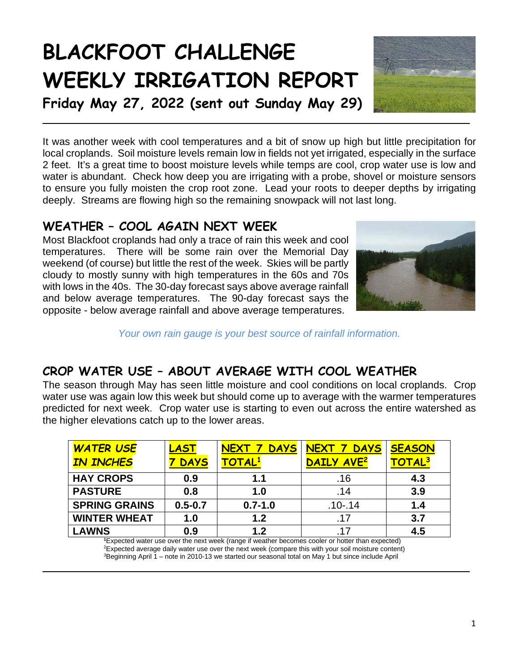# **BLACKFOOT CHALLENGE WEEKLY IRRIGATION REPORT**

**Friday May 27, 2022 (sent out Sunday May 29)**

It was another week with cool temperatures and a bit of snow up high but little precipitation for local croplands. Soil moisture levels remain low in fields not yet irrigated, especially in the surface 2 feet. It's a great time to boost moisture levels while temps are cool, crop water use is low and water is abundant. Check how deep you are irrigating with a probe, shovel or moisture sensors to ensure you fully moisten the crop root zone. Lead your roots to deeper depths by irrigating deeply. Streams are flowing high so the remaining snowpack will not last long.

## **WEATHER – COOL AGAIN NEXT WEEK**

Most Blackfoot croplands had only a trace of rain this week and cool temperatures. There will be some rain over the Memorial Day weekend (of course) but little the rest of the week. Skies will be partly cloudy to mostly sunny with high temperatures in the 60s and 70s with lows in the 40s. The 30-day forecast says above average rainfall and below average temperatures. The 90-day forecast says the opposite - below average rainfall and above average temperatures.



*Your own rain gauge is your best source of rainfall information.*

# **CROP WATER USE – ABOUT AVERAGE WITH COOL WEATHER**

The season through May has seen little moisture and cool conditions on local croplands. Crop water use was again low this week but should come up to average with the warmer temperatures predicted for next week. Crop water use is starting to even out across the entire watershed as the higher elevations catch up to the lower areas.

| <b>WATER USE</b>     | LAST        | <b>DAYS</b><br><b>NEXT</b> | <b>NEXT 7 DAYS</b>     | <b>SEASON</b> |
|----------------------|-------------|----------------------------|------------------------|---------------|
| <b>IN INCHES</b>     | <b>DAYS</b> | <b>TOTAL1</b>              | DAILY AVE <sup>2</sup> | <b>TAL3</b>   |
| <b>HAY CROPS</b>     | 0.9         | 1.1                        | .16                    | 4.3           |
| <b>PASTURE</b>       | 0.8         | 1.0                        | .14                    | 3.9           |
| <b>SPRING GRAINS</b> | $0.5 - 0.7$ | $0.7 - 1.0$                | $.10 - .14$            | 1.4           |
| <b>WINTER WHEAT</b>  | 1.0         | 1.2                        | .17                    | 3.7           |
| <b>LAWNS</b>         | 0.9         | 1.2                        | .17                    | 4.5           |

**1** Expected water use over the next week (range if weather becomes cooler or hotter than expected) 2 Expected average daily water use over the next week (compare this with your soil moisture content) <sup>3</sup>Beginning April 1 – note in 2010-13 we started our seasonal total on May 1 but since include April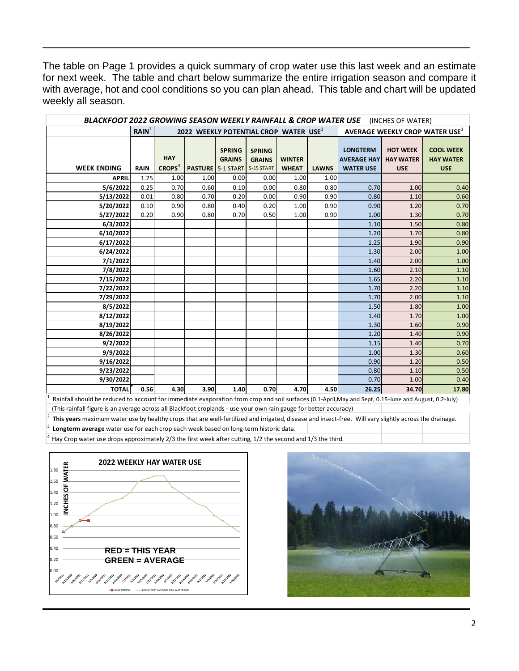The table on Page 1 provides a quick summary of crop water use this last week and an estimate for next week. The table and chart below summarize the entire irrigation season and compare it with average, hot and cool conditions so you can plan ahead. This table and chart will be updated weekly all season.

| <b>BLACKFOOT 2022 GROWING SEASON WEEKLY RAINFALL &amp; CROP WATER USE</b> (INCHES OF WATER) |                   |                                                   |      |                                |                                |               |              |                                            |                                     |                                      |  |
|---------------------------------------------------------------------------------------------|-------------------|---------------------------------------------------|------|--------------------------------|--------------------------------|---------------|--------------|--------------------------------------------|-------------------------------------|--------------------------------------|--|
|                                                                                             | RAIN <sup>1</sup> | 2022 WEEKLY POTENTIAL CROP WATER USE <sup>2</sup> |      |                                |                                |               |              | AVERAGE WEEKLY CROP WATER USE <sup>3</sup> |                                     |                                      |  |
|                                                                                             |                   | <b>HAY</b>                                        |      | <b>SPRING</b><br><b>GRAINS</b> | <b>SPRING</b><br><b>GRAINS</b> | <b>WINTER</b> |              | <b>LONGTERM</b><br><b>AVERAGE HAY</b>      | <b>HOT WEEK</b><br><b>HAY WATER</b> | <b>COOL WEEK</b><br><b>HAY WATER</b> |  |
| <b>WEEK ENDING</b>                                                                          | <b>RAIN</b>       | CROPS <sup>4</sup>                                |      | <b>PASTURE 5-1 START</b>       | 5-15 START                     | <b>WHEAT</b>  | <b>LAWNS</b> | <b>WATER USE</b>                           | <b>USE</b>                          | <b>USE</b>                           |  |
| <b>APRIL</b>                                                                                | 1.25              | 1.00                                              | 1.00 | 0.00                           | 0.00                           | 1.00          | 1.00         |                                            |                                     |                                      |  |
| 5/6/2022                                                                                    | 0.25              | 0.70                                              | 0.60 | 0.10                           | 0.00                           | 0.80          | 0.80         | 0.70                                       | 1.00                                | 0.40                                 |  |
| 5/13/2022                                                                                   | 0.01              | 0.80                                              | 0.70 | 0.20                           | 0.00                           | 0.90          | 0.90         | 0.80                                       | 1.10                                | 0.60                                 |  |
| 5/20/2022                                                                                   | 0.10              | 0.90                                              | 0.80 | 0.40                           | 0.20                           | 1.00          | 0.90         | 0.90                                       | 1.20                                | 0.70                                 |  |
| 5/27/2022                                                                                   | 0.20              | 0.90                                              | 0.80 | 0.70                           | 0.50                           | 1.00          | 0.90         | 1.00                                       | 1.30                                | 0.70                                 |  |
| 6/3/2022                                                                                    |                   |                                                   |      |                                |                                |               |              | 1.10                                       | 1.50                                | 0.80                                 |  |
| 6/10/2022                                                                                   |                   |                                                   |      |                                |                                |               |              | 1.20                                       | 1.70                                | 0.80                                 |  |
| 6/17/2022                                                                                   |                   |                                                   |      |                                |                                |               |              | 1.25                                       | 1.90                                | 0.90                                 |  |
| 6/24/2022                                                                                   |                   |                                                   |      |                                |                                |               |              | 1.30                                       | 2.00                                | 1.00                                 |  |
| 7/1/2022                                                                                    |                   |                                                   |      |                                |                                |               |              | 1.40                                       | 2.00                                | 1.00                                 |  |
| 7/8/2022                                                                                    |                   |                                                   |      |                                |                                |               |              | 1.60                                       | 2.10                                | 1.10                                 |  |
| 7/15/2022                                                                                   |                   |                                                   |      |                                |                                |               |              | 1.65                                       | 2.20                                | 1.10                                 |  |
| 7/22/2022                                                                                   |                   |                                                   |      |                                |                                |               |              | 1.70                                       | 2.20                                | 1.10                                 |  |
| 7/29/2022                                                                                   |                   |                                                   |      |                                |                                |               |              | 1.70                                       | 2.00                                | 1.10                                 |  |
| 8/5/2022                                                                                    |                   |                                                   |      |                                |                                |               |              | 1.50                                       | 1.80                                | 1.00                                 |  |
| 8/12/2022                                                                                   |                   |                                                   |      |                                |                                |               |              | 1.40                                       | 1.70                                | 1.00<br>0.90                         |  |
| 8/19/2022<br>8/26/2022                                                                      |                   |                                                   |      |                                |                                |               |              | 1.30<br>1.20                               | 1.60<br>1.40                        | 0.90                                 |  |
|                                                                                             |                   |                                                   |      |                                |                                |               |              | 1.15                                       | 1.40                                |                                      |  |
| 9/2/2022                                                                                    |                   |                                                   |      |                                |                                |               |              | 1.00                                       | 1.30                                | 0.70<br>0.60                         |  |
| 9/9/2022<br>9/16/2022                                                                       |                   |                                                   |      |                                |                                |               |              | 0.90                                       | 1.20                                | 0.50                                 |  |
| 9/23/2022                                                                                   |                   |                                                   |      |                                |                                |               |              | 0.80                                       | 1.10                                | 0.50                                 |  |
| 9/30/2022                                                                                   |                   |                                                   |      |                                |                                |               |              | 0.70                                       | 1.00                                | 0.40                                 |  |
| <b>TOTAL</b>                                                                                | 0.56              | 4.30                                              | 3.90 | 1.40                           | 0.70                           | 4.70          | 4.50         | 26.25                                      | 34.70                               | 17.80                                |  |
|                                                                                             |                   |                                                   |      |                                |                                |               |              |                                            |                                     |                                      |  |

1 Rainfall should be reduced to account for immediate evaporation from crop and soil surfaces (0.1-April,May and Sept, 0.15-June and August, 0.2-July) (This rainfall figure is an average across all Blackfoot croplands - use your own rain gauge for better accuracy)

2 **This years** maximum water use by healthy crops that are well-fertilized and irrigated, disease and insect-free. Will vary slightly across the drainage.

<sup>3</sup> **Longterm average** water use for each crop each week based on long-term historic data.

4 Hay Crop water use drops approximately 2/3 the first week after cutting, 1/2 the second and 1/3 the third.



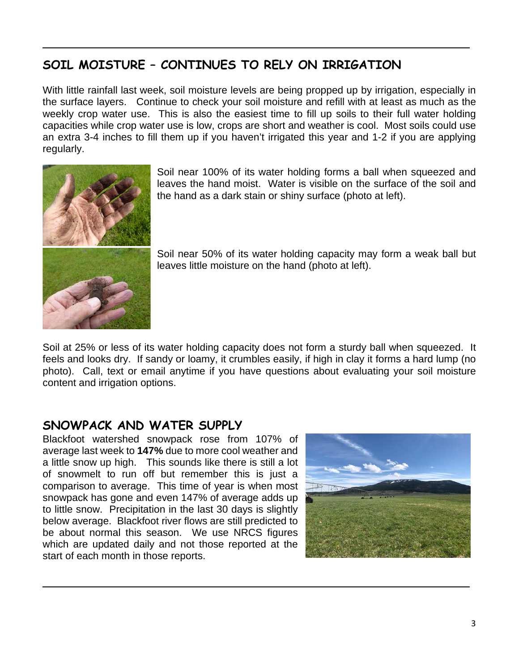## **SOIL MOISTURE – CONTINUES TO RELY ON IRRIGATION**

With little rainfall last week, soil moisture levels are being propped up by irrigation, especially in the surface layers. Continue to check your soil moisture and refill with at least as much as the weekly crop water use. This is also the easiest time to fill up soils to their full water holding capacities while crop water use is low, crops are short and weather is cool. Most soils could use an extra 3-4 inches to fill them up if you haven't irrigated this year and 1-2 if you are applying regularly.



Soil near 100% of its water holding forms a ball when squeezed and leaves the hand moist. Water is visible on the surface of the soil and the hand as a dark stain or shiny surface (photo at left).

Soil near 50% of its water holding capacity may form a weak ball but leaves little moisture on the hand (photo at left).

Soil at 25% or less of its water holding capacity does not form a sturdy ball when squeezed. It feels and looks dry. If sandy or loamy, it crumbles easily, if high in clay it forms a hard lump (no photo). Call, text or email anytime if you have questions about evaluating your soil moisture content and irrigation options.

## **SNOWPACK AND WATER SUPPLY**

Blackfoot watershed snowpack rose from 107% of average last week to **147%** due to more cool weather and a little snow up high. This sounds like there is still a lot of snowmelt to run off but remember this is just a comparison to average. This time of year is when most snowpack has gone and even 147% of average adds up to little snow. Precipitation in the last 30 days is slightly below average. Blackfoot river flows are still predicted to be about normal this season. We use NRCS figures which are updated daily and not those reported at the start of each month in those reports.

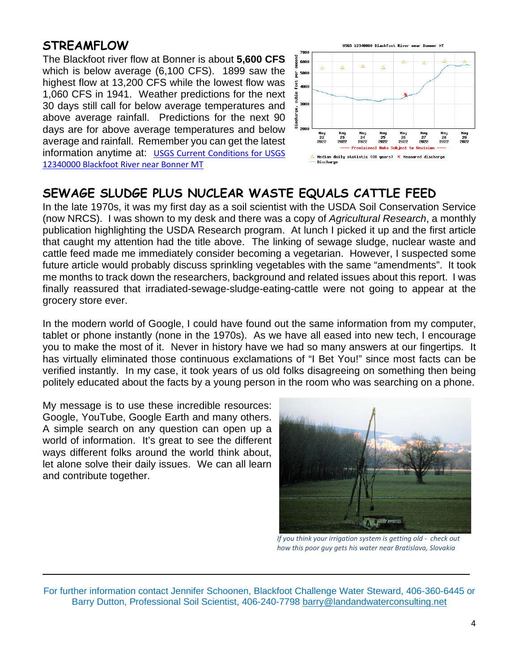## **STREAMFLOW**

The Blackfoot river flow at Bonner is about **5,600 CFS**  which is below average (6,100 CFS). 1899 saw the highest flow at 13,200 CFS while the lowest flow was 1,060 CFS in 1941. Weather predictions for the next 30 days still call for below average temperatures and above average rainfall. Predictions for the next 90 days are for above average temperatures and below average and rainfall. Remember you can get the latest information anytime at: USGS Current Conditions for USGS [12340000 Blackfoot River near Bonner MT](https://waterdata.usgs.gov/nwis/uv?site_no=12340000)



# **SEWAGE SLUDGE PLUS NUCLEAR WASTE EQUALS CATTLE FEED**

In the late 1970s, it was my first day as a soil scientist with the USDA Soil Conservation Service (now NRCS). I was shown to my desk and there was a copy of *Agricultural Research*, a monthly publication highlighting the USDA Research program. At lunch I picked it up and the first article that caught my attention had the title above. The linking of sewage sludge, nuclear waste and cattle feed made me immediately consider becoming a vegetarian. However, I suspected some future article would probably discuss sprinkling vegetables with the same "amendments". It took me months to track down the researchers, background and related issues about this report. I was finally reassured that irradiated-sewage-sludge-eating-cattle were not going to appear at the grocery store ever.

In the modern world of Google, I could have found out the same information from my computer, tablet or phone instantly (none in the 1970s). As we have all eased into new tech, I encourage you to make the most of it. Never in history have we had so many answers at our fingertips. It has virtually eliminated those continuous exclamations of "I Bet You!" since most facts can be verified instantly. In my case, it took years of us old folks disagreeing on something then being politely educated about the facts by a young person in the room who was searching on a phone.

My message is to use these incredible resources: Google, YouTube, Google Earth and many others. A simple search on any question can open up a world of information. It's great to see the different ways different folks around the world think about, let alone solve their daily issues. We can all learn and contribute together.



*If you think your irrigation system is getting old - check out how this poor guy gets his water near Bratislava, Slovakia*

For further information contact Jennifer Schoonen, Blackfoot Challenge Water Steward, 406-360-6445 or Barry Dutton, Professional Soil Scientist, 406-240-7798 [barry@landandwaterconsulting.net](mailto:barry@landandwaterconsulting.net)